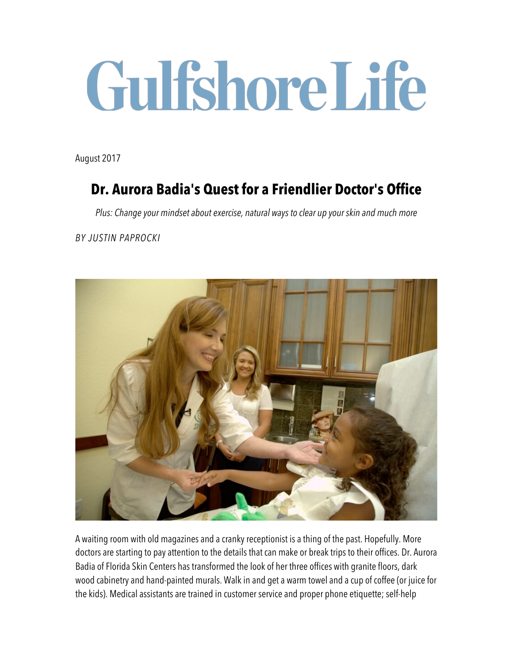# GulfshoreLife

August 2017

## **Dr. Aurora Badia's Quest for a Friendlier Doctor's Office**

*Plus: Change your mindset about exercise, natural ways to clear up your skin and much more*

*BY JUSTIN PAPROCKI*



A waiting room with old magazines and a cranky receptionist is a thing of the past. Hopefully. More doctors are starting to pay attention to the details that can make or break trips to their offices. Dr. Aurora Badia of Florida Skin Centers has transformed the look of her three offices with granite floors, dark wood cabinetry and hand-painted murals. Walk in and get a warm towel and a cup of coffee (or juice for the kids). Medical assistants are trained in customer service and proper phone etiquette; self-help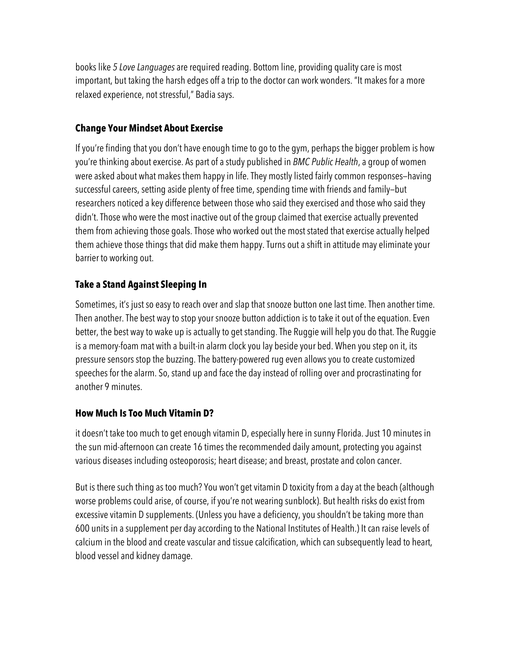books like *5 Love Languages* are required reading. Bottom line, providing quality care is most important, but taking the harsh edges off a trip to the doctor can work wonders. "It makes for a more relaxed experience, not stressful," Badia says.

#### **Change Your Mindset About Exercise**

If you're finding that you don't have enough time to go to the gym, perhaps the bigger problem is how you're thinking about exercise. As part of a study published in *BMC Public Health*, a group of women were asked about what makes them happy in life. They mostly listed fairly common responses—having successful careers, setting aside plenty of free time, spending time with friends and family—but researchers noticed a key difference between those who said they exercised and those who said they didn't. Those who were the most inactive out of the group claimed that exercise actually prevented them from achieving those goals. Those who worked out the most stated that exercise actually helped them achieve those things that did make them happy. Turns out a shift in attitude may eliminate your barrier to working out.

### **Take a Stand Against Sleeping In**

Sometimes, it's just so easy to reach over and slap that snooze button one last time. Then another time. Then another. The best way to stop your snooze button addiction is to take it out of the equation. Even better, the best way to wake up is actually to get standing. The Ruggie will help you do that. The Ruggie is a memory-foam mat with a built-in alarm clock you lay beside your bed. When you step on it, its pressure sensors stop the buzzing. The battery-powered rug even allows you to create customized speeches for the alarm. So, stand up and face the day instead of rolling over and procrastinating for another 9 minutes.

### **How Much Is Too Much Vitamin D?**

it doesn't take too much to get enough vitamin D, especially here in sunny Florida. Just 10 minutes in the sun mid-afternoon can create 16 times the recommended daily amount, protecting you against various diseases including osteoporosis; heart disease; and breast, prostate and colon cancer.

But is there such thing as too much? You won't get vitamin D toxicity from a day at the beach (although worse problems could arise, of course, if you're not wearing sunblock). But health risks do exist from excessive vitamin D supplements. (Unless you have a deficiency, you shouldn't be taking more than 600 units in a supplement per day according to the National Institutes of Health.) It can raise levels of calcium in the blood and create vascular and tissue calcification, which can subsequently lead to heart, blood vessel and kidney damage.